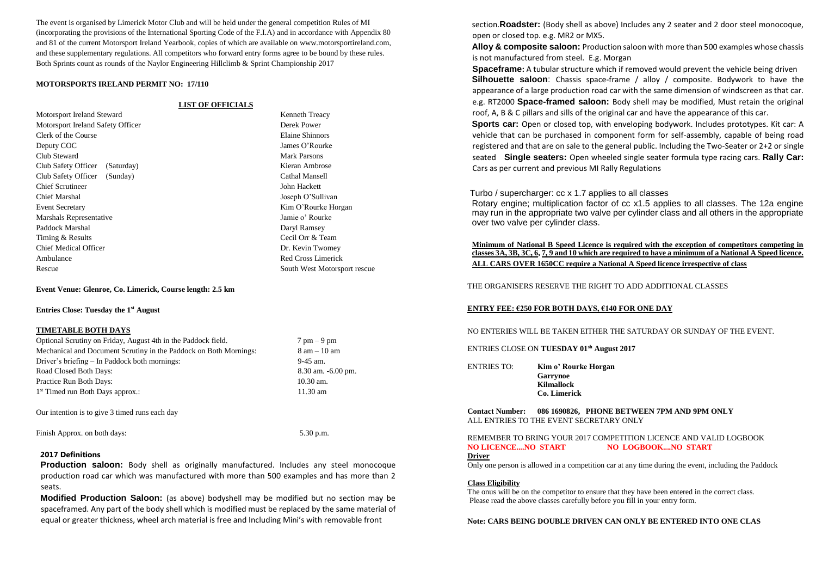The event is organised by Limerick Motor Club and will be held under the general competition Rules of MI (incorporating the provisions of the International Sporting Code of the F.I.A) and in accordance with Appendix 80 and 81 of the current Motorsport Ireland Yearbook, copies of which are available on www.motorsportireland.com, and these supplementary regulations. All competitors who forward entry forms agree to be bound by these rules. Both Sprints count as rounds of the Naylor Engineering Hillclimb & Sprint Championship 2017

#### **MOTORSPORTS IRELAND PERMIT NO: 17/110**

#### **LIST OF OFFICIALS**

Motorsport rescue

 $7$  pm  $-9$  pm  $8$  am – 10 am

8.30 am. -6.00 pm.

| Motorsport Ireland Steward        | Kenneth Treacy         |
|-----------------------------------|------------------------|
| Motorsport Ireland Safety Officer | Derek Power            |
| Clerk of the Course               | <b>Elaine Shinnors</b> |
| Deputy COC                        | James O'Rourke         |
| Club Steward                      | Mark Parsons           |
| Club Safety Officer<br>(Saturday) | Kieran Ambrose         |
| Club Safety Officer<br>(Sunday)   | Cathal Mansell         |
| <b>Chief Scrutineer</b>           | John Hackett           |
| Chief Marshal                     | Joseph O'Sullivan      |
| <b>Event Secretary</b>            | Kim O'Rourke Horgan    |
| Marshals Representative           | Jamie o' Rourke        |
| Paddock Marshal                   | Daryl Ramsey           |
| Timing & Results                  | Cecil Orr & Team       |
| <b>Chief Medical Officer</b>      | Dr. Kevin Twomey       |
| Ambulance                         | Red Cross Limerick     |
| Rescue                            | South West Motorspor   |
|                                   |                        |

#### **Event Venue: Glenroe, Co. Limerick, Course length: 2.5 km**

#### **Entries Close: Tuesday the 1st August**

#### **TIMETABLE BOTH DAYS**

| Optional Scrutiny on Friday, August 4th in the Paddock field.     | $7 \text{ pm} - 9$  |
|-------------------------------------------------------------------|---------------------|
| Mechanical and Document Scrutiny in the Paddock on Both Mornings: | $8 \text{ am} - 10$ |
| Driver's briefing – In Paddock both mornings:                     | 9-45 am.            |
| Road Closed Both Days:                                            | $8.30 \text{ am.}$  |
| Practice Run Both Days:                                           | $10.30$ am.         |
| $1st$ Timed run Both Days approx.:                                | 11.30 am            |
|                                                                   |                     |

Our intention is to give 3 timed runs each day

Finish Approx. on both days: 5.30 p.m.

### **2017 Definitions**

**Production saloon:** Body shell as originally manufactured. Includes any steel monocoque production road car which was manufactured with more than 500 examples and has more than 2 seats.

**Modified Production Saloon:** (as above) bodyshell may be modified but no section may be spaceframed. Any part of the body shell which is modified must be replaced by the same material of equal or greater thickness, wheel arch material is free and Including Mini's with removable front

section.**Roadster:** (Body shell as above) Includes any 2 seater and 2 door steel monocoque, open or closed top. e.g. MR2 or MX5.

**Alloy & composite saloon:** Production saloon with more than 500 examples whose chassis is not manufactured from steel. E.g. Morgan

 **Spaceframe:** A tubular structure which if removed would prevent the vehicle being driven **Silhouette saloon**: Chassis space-frame / alloy / composite. Bodywork to have the appearance of a large production road car with the same dimension of windscreen as that car. e.g. RT2000 **Space-framed saloon:** Body shell may be modified, Must retain the original roof, A, B & C pillars and sills of the original car and have the appearance of this car.

**Sports car:** Open or closed top, with enveloping bodywork. Includes prototypes. Kit car: A vehicle that can be purchased in component form for self-assembly, capable of being road registered and that are on sale to the general public. Including the Two-Seater or 2+2 or single seated **Single seaters:** Open wheeled single seater formula type racing cars. **Rally Car:**  Cars as per current and previous MI Rally Regulations

### Turbo / supercharger: cc x 1.7 applies to all classes

Rotary engine; multiplication factor of cc x1.5 applies to all classes. The 12a engine may run in the appropriate two valve per cylinder class and all others in the appropriate over two valve per cylinder class.

**Minimum of National B Speed Licence is required with the exception of competitors competing in classes 3A, 3B, 3C, 6, 7, 9 and 10 which are required to have a minimum of a National A Speed licence. ALL CARS OVER 1650CC require a National A Speed licence irrespective of class**

THE ORGANISERS RESERVE THE RIGHT TO ADD ADDITIONAL CLASSES

### **ENTRY FEE: €250 FOR BOTH DAYS, €140 FOR ONE DAY**

NO ENTERIES WILL BE TAKEN EITHER THE SATURDAY OR SUNDAY OF THE EVENT.

ENTRIES CLOSE ON **TUESDAY 01sh August 2017** 

ENTRIES TO: **Kim o' Rourke Horgan Garrynoe Kilmallock Co. Limerick**

### **Contact Number: 086 1690826, PHONE BETWEEN 7PM AND 9PM ONLY**  ALL ENTRIES TO THE EVENT SECRETARY ONLY

#### REMEMBER TO BRING YOUR 2017 COMPETITION LICENCE AND VALID LOGBOOK **NO LICENCE....NO START NO LOGBOOK....NO START**

#### **Driver**

Only one person is allowed in a competition car at any time during the event, including the Paddock

## **Class Eligibility**

The onus will be on the competitor to ensure that they have been entered in the correct class. Please read the above classes carefully before you fill in your entry form.

### **Note: CARS BEING DOUBLE DRIVEN CAN ONLY BE ENTERED INTO ONE CLAS**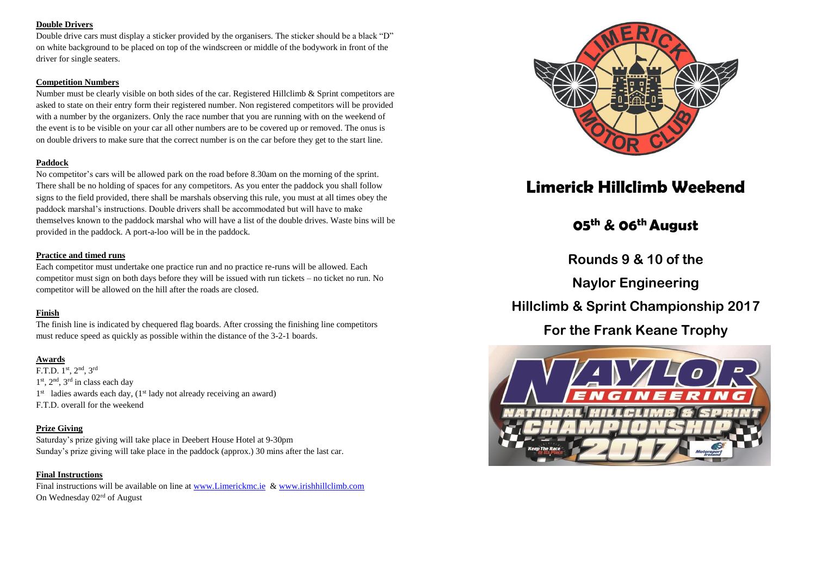## **Double Drivers**

Double drive cars must display a sticker provided by the organisers. The sticker should be a black "D" on white background to be placed on top of the windscreen or middle of the bodywork in front of the driver for single seaters.

## **Competition Numbers**

Number must be clearly visible on both sides of the car. Registered Hillclimb & Sprint competitors are asked to state on their entry form their registered number. Non registered competitors will be provided with a number by the organizers. Only the race number that you are running with on the weekend of the event is to be visible on your car all other numbers are to be covered up or removed. The onus is on double drivers to make sure that the correct number is on the car before they get to the start line.

## **Paddock**

No competitor's cars will be allowed park on the road before 8.30am on the morning of the sprint. There shall be no holding of spaces for any competitors. As you enter the paddock you shall follow signs to the field provided, there shall be marshals observing this rule, you must at all times obey the paddock marshal's instructions. Double drivers shall be accommodated but will have to make themselves known to the paddock marshal who will have a list of the double drives. Waste bins will be provided in the paddock. A port-a-loo will be in the paddock.

## **Practice and timed runs**

Each competitor must undertake one practice run and no practice re-runs will be allowed. Each competitor must sign on both days before they will be issued with run tickets – no ticket no run. No competitor will be allowed on the hill after the roads are closed.

## **Finish**

The finish line is indicated by chequered flag boards. After crossing the finishing line competitors must reduce speed as quickly as possible within the distance of the 3-2-1 boards.

## **Awards**

F.T.D. 1st, 2nd, 3rd 1<sup>st</sup>, 2<sup>nd</sup>, 3<sup>rd</sup> in class each day 1<sup>st</sup> ladies awards each day, (1<sup>st</sup> lady not already receiving an award) F.T.D. overall for the weekend

## **Prize Giving**

Saturday's prize giving will take place in Deebert House Hotel at 9-30pm Sunday's prize giving will take place in the paddock (approx.) 30 mins after the last car.

## **Final Instructions**

Final instructions will be available on line a[t www.Limerickmc.ie](http://www.limerickmc.ie/) & [www.irishhillclimb.com](http://www.irishhillclimb.com/) On Wednesday 02rd of August



## **Limerick Hillclimb Weekend**

## **05th & 06th August**

**Rounds 9 & 10 of the**

**Naylor Engineering**

**Hillclimb & Sprint Championship 2017**

**For the Frank Keane Trophy**